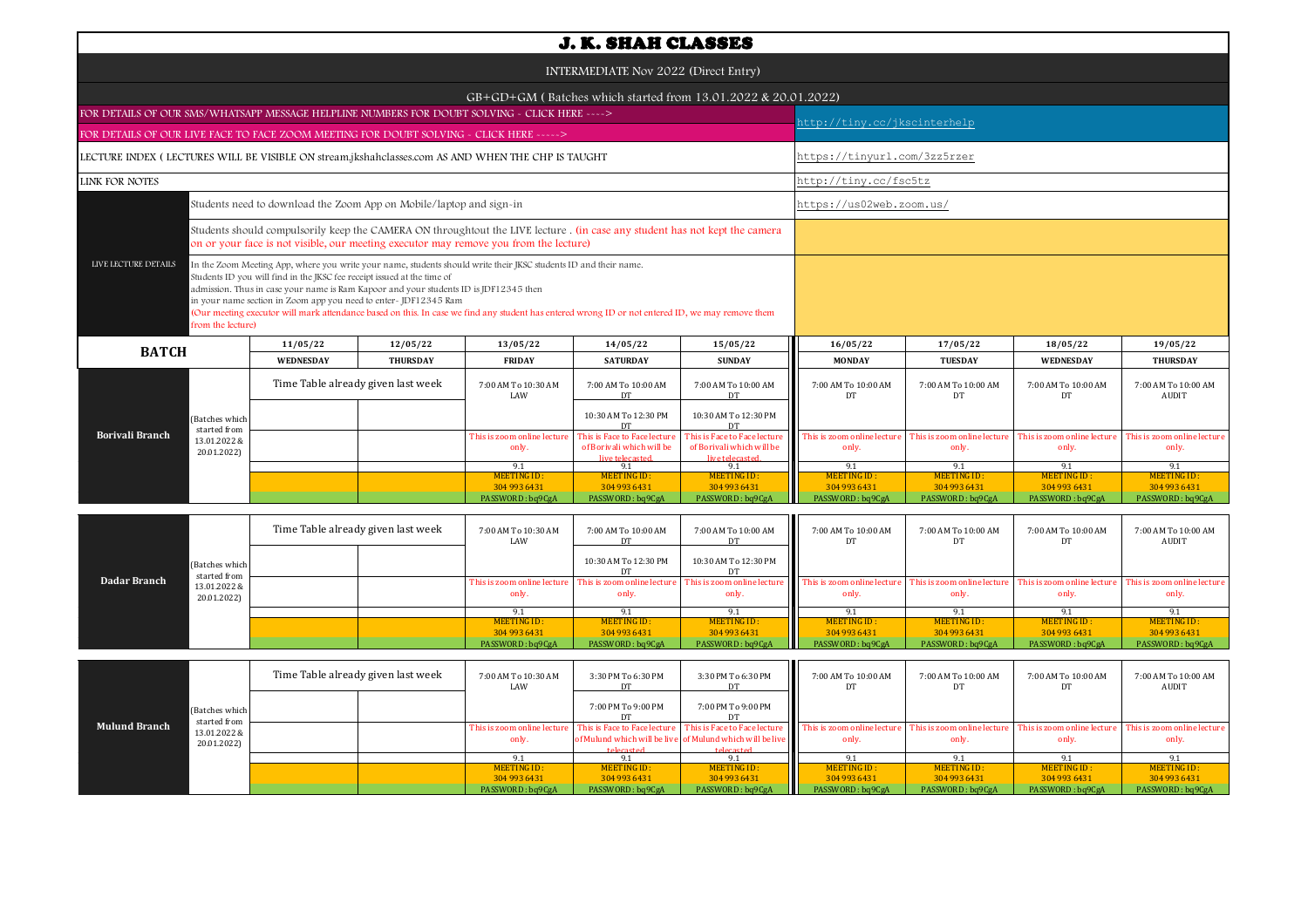|                                                                                                                                                                                                                                                                                                                                                                                                                                                                                                                                                          |                                |                                                                     |                                    |                                                                                                                                                                                                                      | <b>J. K. SHAH CLASSES</b>                                 |                                                                              |                                     |                                     |                                      |                                      |  |  |
|----------------------------------------------------------------------------------------------------------------------------------------------------------------------------------------------------------------------------------------------------------------------------------------------------------------------------------------------------------------------------------------------------------------------------------------------------------------------------------------------------------------------------------------------------------|--------------------------------|---------------------------------------------------------------------|------------------------------------|----------------------------------------------------------------------------------------------------------------------------------------------------------------------------------------------------------------------|-----------------------------------------------------------|------------------------------------------------------------------------------|-------------------------------------|-------------------------------------|--------------------------------------|--------------------------------------|--|--|
|                                                                                                                                                                                                                                                                                                                                                                                                                                                                                                                                                          |                                |                                                                     |                                    |                                                                                                                                                                                                                      | INTERMEDIATE Nov 2022 (Direct Entry)                      |                                                                              |                                     |                                     |                                      |                                      |  |  |
|                                                                                                                                                                                                                                                                                                                                                                                                                                                                                                                                                          |                                |                                                                     |                                    |                                                                                                                                                                                                                      |                                                           | GB+GD+GM (Batches which started from 13.01.2022 & 20.01.2022)                |                                     |                                     |                                      |                                      |  |  |
| FOR DETAILS OF OUR SMS/WHATSAPP MESSAGE HELPLINE NUMBERS FOR DOUBT SOLVING - CLICK HERE ---->                                                                                                                                                                                                                                                                                                                                                                                                                                                            |                                |                                                                     |                                    |                                                                                                                                                                                                                      |                                                           |                                                                              | http://tiny.cc/jkscinterhelp        |                                     |                                      |                                      |  |  |
| FOR DETAILS OF OUR LIVE FACE TO FACE ZOOM MEETING FOR DOUBT SOLVING - CLICK HERE ----->                                                                                                                                                                                                                                                                                                                                                                                                                                                                  |                                |                                                                     |                                    |                                                                                                                                                                                                                      |                                                           |                                                                              |                                     |                                     |                                      |                                      |  |  |
|                                                                                                                                                                                                                                                                                                                                                                                                                                                                                                                                                          |                                |                                                                     |                                    | LECTURE INDEX (LECTURES WILL BE VISIBLE ON stream.jkshahclasses.com AS AND WHEN THE CHP IS TAUGHT                                                                                                                    |                                                           |                                                                              |                                     | https://tinyurl.com/3zz5rzer        |                                      |                                      |  |  |
| LINK FOR NOTES                                                                                                                                                                                                                                                                                                                                                                                                                                                                                                                                           |                                |                                                                     |                                    |                                                                                                                                                                                                                      |                                                           |                                                                              | http://tiny.cc/fsc5tz               |                                     |                                      |                                      |  |  |
|                                                                                                                                                                                                                                                                                                                                                                                                                                                                                                                                                          |                                | Students need to download the Zoom App on Mobile/laptop and sign-in |                                    |                                                                                                                                                                                                                      |                                                           |                                                                              | https://us02web.zoom.us/            |                                     |                                      |                                      |  |  |
|                                                                                                                                                                                                                                                                                                                                                                                                                                                                                                                                                          |                                |                                                                     |                                    | Students should compulsorily keep the CAMERA ON throughtout the LIVE lecture . (in case any student has not kept the camera<br>on or your face is not visible, our meeting executor may remove you from the lecture) |                                                           |                                                                              |                                     |                                     |                                      |                                      |  |  |
| LIVE LECTURE DETAILS<br>In the Zoom Meeting App, where you write your name, students should write their JKSC students ID and their name.<br>Students ID you will find in the JKSC fee receipt issued at the time of<br>admission. Thus in case your name is Ram Kapoor and your students ID is JDF12345 then<br>in your name section in Zoom app you need to enter-JDF12345 Ram<br>(Our meeting executor will mark attendance based on this. In case we find any student has entered wrong ID or not entered ID, we may remove them<br>from the lecture) |                                |                                                                     |                                    |                                                                                                                                                                                                                      |                                                           |                                                                              |                                     |                                     |                                      |                                      |  |  |
| <b>BATCH</b>                                                                                                                                                                                                                                                                                                                                                                                                                                                                                                                                             |                                | 11/05/22                                                            | 12/05/22                           | 13/05/22                                                                                                                                                                                                             | 14/05/22                                                  | 15/05/22                                                                     | 16/05/22                            | 17/05/22                            | 18/05/22                             | 19/05/22                             |  |  |
|                                                                                                                                                                                                                                                                                                                                                                                                                                                                                                                                                          |                                | <b>WEDNESDAY</b>                                                    | <b>THURSDAY</b>                    | <b>FRIDAY</b>                                                                                                                                                                                                        | <b>SATURDAY</b>                                           | <b>SUNDAY</b>                                                                | <b>MONDAY</b>                       | <b>TUESDAY</b>                      | <b>WEDNESDAY</b>                     | <b>THURSDAY</b>                      |  |  |
| <b>Borivali Branch</b>                                                                                                                                                                                                                                                                                                                                                                                                                                                                                                                                   |                                |                                                                     | Time Table already given last week | 7:00 AM To 10:30 AM<br>LAW                                                                                                                                                                                           | 7:00 AM To 10:00 AM<br>DT                                 | 7:00 AM To 10:00 AM<br>DT                                                    | 7:00 AM To 10:00 AM<br>DT           | 7:00 AM To 10:00 AM<br>DT           | 7:00 AM To 10:00 AM<br>DT            | 7:00 AM To 10:00 AM<br><b>AUDIT</b>  |  |  |
|                                                                                                                                                                                                                                                                                                                                                                                                                                                                                                                                                          | (Batches which<br>started from |                                                                     |                                    |                                                                                                                                                                                                                      | 10:30 AM To 12:30 PM<br>DT                                | 10:30 AM To 12:30 PM<br>DT                                                   |                                     |                                     |                                      |                                      |  |  |
|                                                                                                                                                                                                                                                                                                                                                                                                                                                                                                                                                          | 13.01.2022 &<br>20.01.2022)    |                                                                     |                                    | This is zoom online lecture<br>only.                                                                                                                                                                                 | This is Face to Face lecture<br>of Borivali which will be | This is Face to Face lecture<br>of Borivali which will be<br>live telecaster | This is zoom online lectur<br>only. | This is zoom online lectur<br>only. | This is zoom online lecture<br>only. | This is zoom online lecture<br>only. |  |  |
|                                                                                                                                                                                                                                                                                                                                                                                                                                                                                                                                                          |                                |                                                                     |                                    | 9.1                                                                                                                                                                                                                  | 9.1                                                       | 9.1                                                                          | 9.1                                 | 9.1                                 | 9.1                                  | 9.1                                  |  |  |
|                                                                                                                                                                                                                                                                                                                                                                                                                                                                                                                                                          |                                |                                                                     |                                    | MEETING ID:<br>304 993 6431                                                                                                                                                                                          | MEETING ID:<br>304 993 6431                               | MEETING ID:<br>304 993 6431                                                  | MEETING ID:<br>304 993 6431         | <b>MEETING ID:</b><br>304 993 6431  | MEETING ID:<br>304 993 6431          | MEETING ID:<br>304 993 6431          |  |  |
|                                                                                                                                                                                                                                                                                                                                                                                                                                                                                                                                                          |                                |                                                                     |                                    | PASSWORD: bq9CgA                                                                                                                                                                                                     | PASSWORD: bq9CgA                                          | PASSWORD: bq9CgA                                                             | PASSWORD: bq9CgA                    | PASSWORD: bq9CgA                    | PASSWORD: bq9CgA                     | PASSWORD: bq9CgA                     |  |  |

|              |                                                               | Time Table already given last week |  | 7:00 AM To 10:30 AM<br>LAW           | 7:00 AM To 10:00 AM<br>DT | 7:00 AM To 10:00 AM<br>DT | 7:00 AM To 10:00 AM                                                                                                                                                                                          | 7:00 AM To 10:00 AM | 7:00 AM To 10:00 AM<br>DT | 7:00 AM To 10:00 AM<br>AUDIT |
|--------------|---------------------------------------------------------------|------------------------------------|--|--------------------------------------|---------------------------|---------------------------|--------------------------------------------------------------------------------------------------------------------------------------------------------------------------------------------------------------|---------------------|---------------------------|------------------------------|
| Dadar Branch | (Batches which<br>started from<br>13.01.2022 &<br>20.01.2022) |                                    |  |                                      | 10:30 AM To 12:30 PM      | 10:30 AM To 12:30 PM      |                                                                                                                                                                                                              |                     |                           |                              |
|              |                                                               |                                    |  | This is zoom online lecture<br>only. | only.                     | only.                     | This is zoom online lecture This is zoom online lecture This is zoom online lecture This is zoom online lecture This is zoom online lecture This is zoom online lecture This is zoom online lecture<br>only. | only.               | only.                     | only.                        |
|              |                                                               |                                    |  |                                      |                           |                           |                                                                                                                                                                                                              |                     |                           |                              |
|              |                                                               |                                    |  | MEETING ID:                          | MEETING ID:               | MEETING ID:               | MEETING ID:                                                                                                                                                                                                  | MEETING ID:         | MEETING ID:               | MEETING ID:                  |
|              |                                                               |                                    |  | 304 993 6431                         | 304 993 6431              | 304 993 6431              | 304 993 6431                                                                                                                                                                                                 | 304 993 6431        | 304 993 6431              | 304 993 6431                 |
|              |                                                               |                                    |  | PASSWORD: bq9CgA                     | PASSWORD: bq9CgA          | PASSWORD: bq9CgA          | PASSWORD: bq9CgA                                                                                                                                                                                             | PASSWORD: bq9CgA    | PASSWORD: bq9CgA          | PASSWORD: bq9CgA             |

| <b>Mulund Branch</b> | (Batches which<br>started from<br>13.01.2022 &<br>20.01.2022) | Time Table already given last week |  | 7:00 AM To 10:30 AM<br>LAW | 3:30 PM To 6:30 PM<br>DT. | 3:30 PM To 6:30 PM<br>DT                                  | 7:00 AM To 10:00 AM<br>DТ                                                                                                                                                                                                      | 7:00 AM To 10:00 AM | 7:00 AM To 10:00 AM | 7:00 AM To 10:00 AM<br>AUDIT |
|----------------------|---------------------------------------------------------------|------------------------------------|--|----------------------------|---------------------------|-----------------------------------------------------------|--------------------------------------------------------------------------------------------------------------------------------------------------------------------------------------------------------------------------------|---------------------|---------------------|------------------------------|
|                      |                                                               |                                    |  |                            | 7:00 PM To 9:00 PM        | 7:00 PM To 9:00 PM                                        |                                                                                                                                                                                                                                |                     |                     |                              |
|                      |                                                               |                                    |  |                            |                           |                                                           | This is zoom online lecture This is Face to Face lecture This is Face to Face lecture This is zoom online lecture This is zoom online lecture This is zoom online lecture This is zoom online lecture This is zoom online lect |                     |                     |                              |
|                      |                                                               |                                    |  | only.                      |                           | of Mulund which will be live of Mulund which will be live | only.                                                                                                                                                                                                                          | only.               | only.               | only.                        |
|                      |                                                               |                                    |  |                            | telecasted                | telecasted                                                |                                                                                                                                                                                                                                |                     |                     |                              |
|                      |                                                               |                                    |  |                            |                           |                                                           |                                                                                                                                                                                                                                |                     |                     |                              |
|                      |                                                               |                                    |  | MEETING ID:                | MEETING ID:               | MEETING ID:                                               | <b>MEETING ID:</b>                                                                                                                                                                                                             | <b>MEETING ID:</b>  | <b>MEETING ID:</b>  | MEETING ID:                  |
|                      |                                                               |                                    |  | 304 993 6431               | 304 993 6431              | 304 993 6431                                              | 304 993 6431                                                                                                                                                                                                                   | 304 993 6431        | 304 993 6431        | 304 993 6431                 |
|                      |                                                               |                                    |  | PASSWORD: bq9CgA           | PASSWORD: bq9CgA          | PASSWORD: bq9CgA                                          | PASSWORD: bq9CgA                                                                                                                                                                                                               | PASSWORD: bq9CgA    | PASSWORD: bq9CgA    | PASSWORD: bq9CgA             |